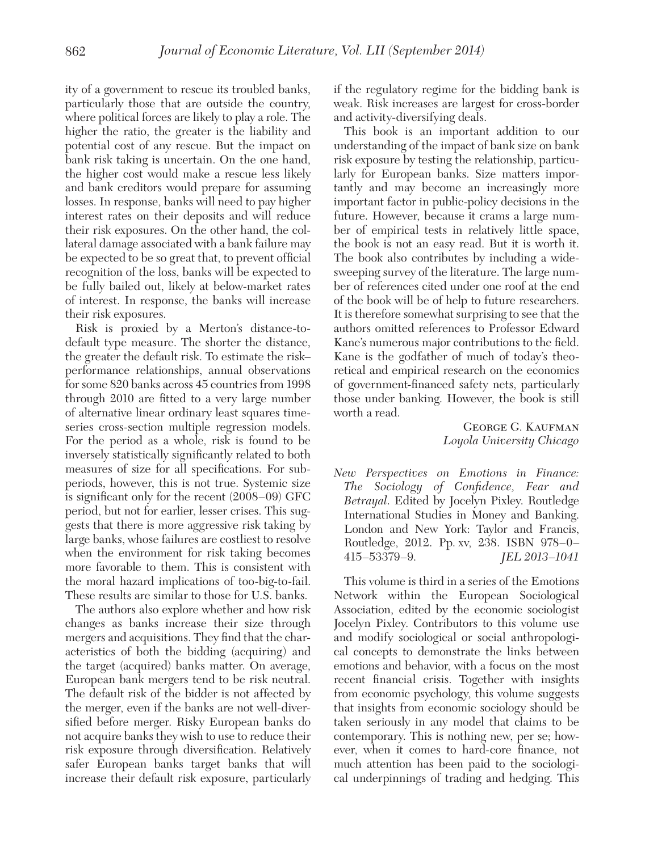*New Perspectives on Emotions in Finance: The Sociology of Confidence, Fear and Betrayal*. Edited by Jocelyn Pixley. Routledge International Studies in Money and Banking. London and New York: Taylor and Francis, Routledge, 2012. Pp. xv, 238. ISBN 978–0– 415–53379–9. *JEL 2013–1041*

This volume is third in a series of the Emotions Network within the European Sociological Association, edited by the economic sociologist Jocelyn Pixley. Contributors to this volume use and modify sociological or social anthropological concepts to demonstrate the links between emotions and behavior, with a focus on the most recent financial crisis. Together with insights from economic psychology, this volume suggests that insights from economic sociology should be taken seriously in any model that claims to be contemporary. This is nothing new, per se; however, when it comes to hard-core finance, not much attention has been paid to the sociological underpinnings of trading and hedging. This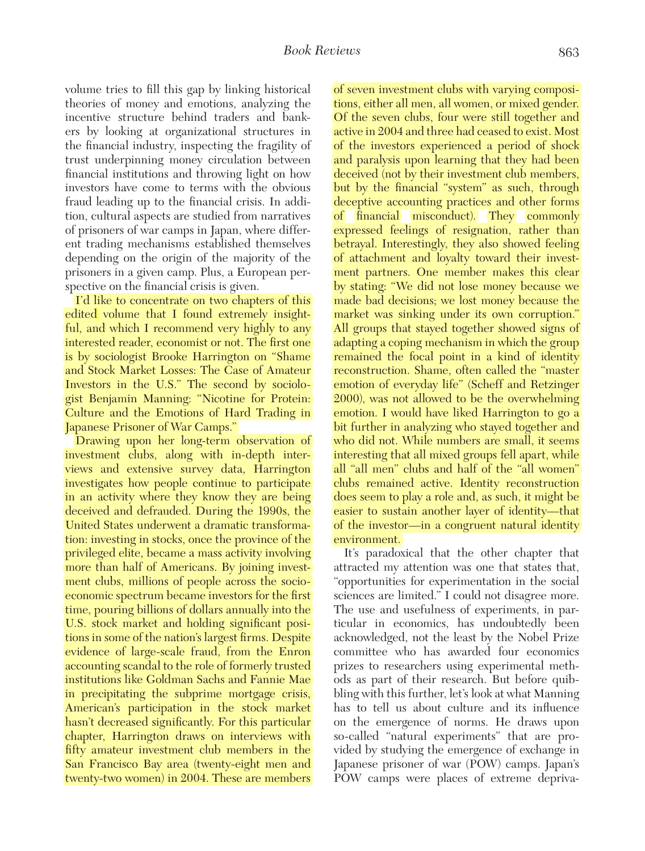volume tries to fill this gap by linking historical theories of money and emotions, analyzing the incentive structure behind traders and bankers by looking at organizational structures in the financial industry, inspecting the fragility of trust underpinning money circulation between financial institutions and throwing light on how investors have come to terms with the obvious fraud leading up to the financial crisis. In addition, cultural aspects are studied from narratives of prisoners of war camps in Japan, where different trading mechanisms established themselves depending on the origin of the majority of the prisoners in a given camp. Plus, a European perspective on the financial crisis is given.

I'd like to concentrate on two chapters of this edited volume that I found extremely insightful, and which I recommend very highly to any interested reader, economist or not. The first one is by sociologist Brooke Harrington on "Shame and Stock Market Losses: The Case of Amateur Investors in the U.S." The second by sociologist Benjamin Manning: "Nicotine for Protein: Culture and the Emotions of Hard Trading in Japanese Prisoner of War Camps."

Drawing upon her long-term observation of investment clubs, along with in-depth interviews and extensive survey data, Harrington investigates how people continue to participate in an activity where they know they are being deceived and defrauded. During the 1990s, the United States underwent a dramatic transformation: investing in stocks, once the province of the privileged elite, became a mass activity involving more than half of Americans. By joining investment clubs, millions of people across the socioeconomic spectrum became investors for the first time, pouring billions of dollars annually into the U.S. stock market and holding significant positions in some of the nation's largest firms. Despite evidence of large-scale fraud, from the Enron accounting scandal to the role of formerly trusted institutions like Goldman Sachs and Fannie Mae in precipitating the subprime mortgage crisis, American's participation in the stock market hasn't decreased significantly. For this particular chapter, Harrington draws on interviews with fifty amateur investment club members in the San Francisco Bay area (twenty-eight men and twenty-two women) in 2004. These are members

of seven investment clubs with varying compositions, either all men, all women, or mixed gender. Of the seven clubs, four were still together and active in 2004 and three had ceased to exist. Most of the investors experienced a period of shock and paralysis upon learning that they had been deceived (not by their investment club members, but by the financial "system" as such, through deceptive accounting practices and other forms of financial misconduct). They commonly expressed feelings of resignation, rather than betrayal. Interestingly, they also showed feeling of attachment and loyalty toward their investment partners. One member makes this clear by stating: "We did not lose money because we made bad decisions; we lost money because the market was sinking under its own corruption." All groups that stayed together showed signs of adapting a coping mechanism in which the group remained the focal point in a kind of identity reconstruction. Shame, often called the "master emotion of everyday life" (Scheff and Retzinger 2000), was not allowed to be the overwhelming emotion. I would have liked Harrington to go a bit further in analyzing who stayed together and who did not. While numbers are small, it seems interesting that all mixed groups fell apart, while all "all men" clubs and half of the "all women" clubs remained active. Identity reconstruction does seem to play a role and, as such, it might be easier to sustain another layer of identity—that of the investor—in a congruent natural identity environment.

It's paradoxical that the other chapter that attracted my attention was one that states that, "opportunities for experimentation in the social sciences are limited." I could not disagree more. The use and usefulness of experiments, in particular in economics, has undoubtedly been acknowledged, not the least by the Nobel Prize committee who has awarded four economics prizes to researchers using experimental methods as part of their research. But before quibbling with this further, let's look at what Manning has to tell us about culture and its influence on the emergence of norms. He draws upon so-called "natural experiments" that are provided by studying the emergence of exchange in Japanese prisoner of war (POW) camps. Japan's POW camps were places of extreme depriva-